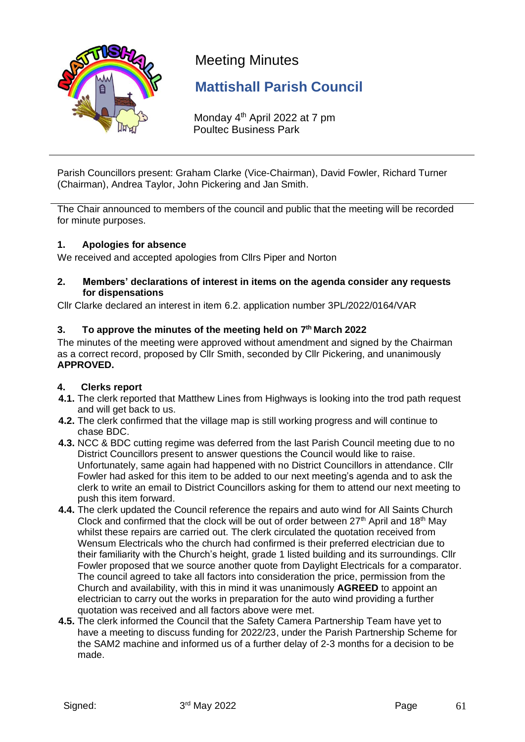

# Meeting Minutes

## **Mattishall Parish Council**

Monday 4<sup>th</sup> April 2022 at 7 pm Poultec Business Park

Parish Councillors present: Graham Clarke (Vice-Chairman), David Fowler, Richard Turner (Chairman), Andrea Taylor, John Pickering and Jan Smith.

The Chair announced to members of the council and public that the meeting will be recorded for minute purposes.

### **1. Apologies for absence**

We received and accepted apologies from Cllrs Piper and Norton

**2. Members' declarations of interest in items on the agenda consider any requests for dispensations**

Cllr Clarke declared an interest in item 6.2. application number 3PL/2022/0164/VAR

## **3. To approve the minutes of the meeting held on 7 th March 2022**

The minutes of the meeting were approved without amendment and signed by the Chairman as a correct record, proposed by Cllr Smith, seconded by Cllr Pickering, and unanimously **APPROVED.**

## **4. Clerks report**

- **4.1.** The clerk reported that Matthew Lines from Highways is looking into the trod path request and will get back to us.
- **4.2.** The clerk confirmed that the village map is still working progress and will continue to chase BDC.
- **4.3.** NCC & BDC cutting regime was deferred from the last Parish Council meeting due to no District Councillors present to answer questions the Council would like to raise. Unfortunately, same again had happened with no District Councillors in attendance. Cllr Fowler had asked for this item to be added to our next meeting's agenda and to ask the clerk to write an email to District Councillors asking for them to attend our next meeting to push this item forward.
- **4.4.** The clerk updated the Council reference the repairs and auto wind for All Saints Church Clock and confirmed that the clock will be out of order between  $27<sup>th</sup>$  April and  $18<sup>th</sup>$  May whilst these repairs are carried out. The clerk circulated the quotation received from Wensum Electricals who the church had confirmed is their preferred electrician due to their familiarity with the Church's height, grade 1 listed building and its surroundings. Cllr Fowler proposed that we source another quote from Daylight Electricals for a comparator. The council agreed to take all factors into consideration the price, permission from the Church and availability, with this in mind it was unanimously **AGREED** to appoint an electrician to carry out the works in preparation for the auto wind providing a further quotation was received and all factors above were met.
- **4.5.** The clerk informed the Council that the Safety Camera Partnership Team have yet to have a meeting to discuss funding for 2022/23, under the Parish Partnership Scheme for the SAM2 machine and informed us of a further delay of 2-3 months for a decision to be made.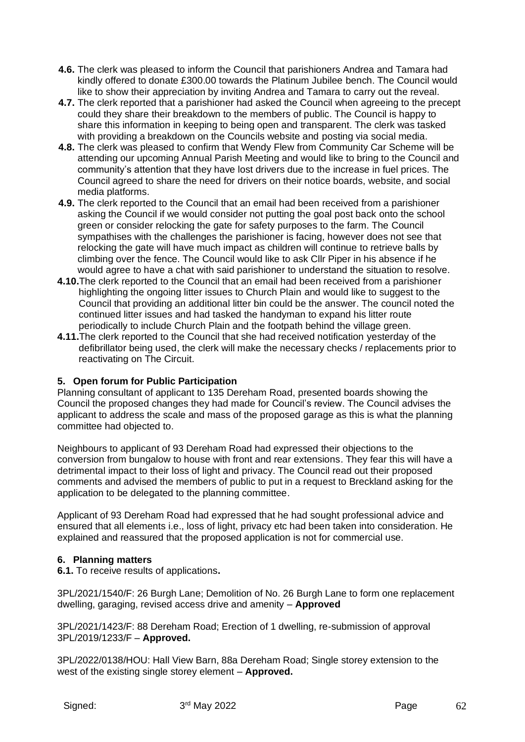- **4.6.** The clerk was pleased to inform the Council that parishioners Andrea and Tamara had kindly offered to donate £300.00 towards the Platinum Jubilee bench. The Council would like to show their appreciation by inviting Andrea and Tamara to carry out the reveal.
- **4.7.** The clerk reported that a parishioner had asked the Council when agreeing to the precept could they share their breakdown to the members of public. The Council is happy to share this information in keeping to being open and transparent. The clerk was tasked with providing a breakdown on the Councils website and posting via social media.
- **4.8.** The clerk was pleased to confirm that Wendy Flew from Community Car Scheme will be attending our upcoming Annual Parish Meeting and would like to bring to the Council and community's attention that they have lost drivers due to the increase in fuel prices. The Council agreed to share the need for drivers on their notice boards, website, and social media platforms.
- **4.9.** The clerk reported to the Council that an email had been received from a parishioner asking the Council if we would consider not putting the goal post back onto the school green or consider relocking the gate for safety purposes to the farm. The Council sympathises with the challenges the parishioner is facing, however does not see that relocking the gate will have much impact as children will continue to retrieve balls by climbing over the fence. The Council would like to ask Cllr Piper in his absence if he would agree to have a chat with said parishioner to understand the situation to resolve.
- **4.10.**The clerk reported to the Council that an email had been received from a parishioner highlighting the ongoing litter issues to Church Plain and would like to suggest to the Council that providing an additional litter bin could be the answer. The council noted the continued litter issues and had tasked the handyman to expand his litter route periodically to include Church Plain and the footpath behind the village green.
- **4.11.**The clerk reported to the Council that she had received notification yesterday of the defibrillator being used, the clerk will make the necessary checks / replacements prior to reactivating on The Circuit.

## **5. Open forum for Public Participation**

Planning consultant of applicant to 135 Dereham Road, presented boards showing the Council the proposed changes they had made for Council's review. The Council advises the applicant to address the scale and mass of the proposed garage as this is what the planning committee had objected to.

Neighbours to applicant of 93 Dereham Road had expressed their objections to the conversion from bungalow to house with front and rear extensions. They fear this will have a detrimental impact to their loss of light and privacy. The Council read out their proposed comments and advised the members of public to put in a request to Breckland asking for the application to be delegated to the planning committee.

Applicant of 93 Dereham Road had expressed that he had sought professional advice and ensured that all elements i.e., loss of light, privacy etc had been taken into consideration. He explained and reassured that the proposed application is not for commercial use.

## **6. Planning matters**

**6.1.** To receive results of applications**.**

3PL/2021/1540/F: 26 Burgh Lane; Demolition of No. 26 Burgh Lane to form one replacement dwelling, garaging, revised access drive and amenity – **Approved**

3PL/2021/1423/F: 88 Dereham Road; Erection of 1 dwelling, re-submission of approval 3PL/2019/1233/F – **Approved.**

3PL/2022/0138/HOU: Hall View Barn, 88a Dereham Road; Single storey extension to the west of the existing single storey element – **Approved.**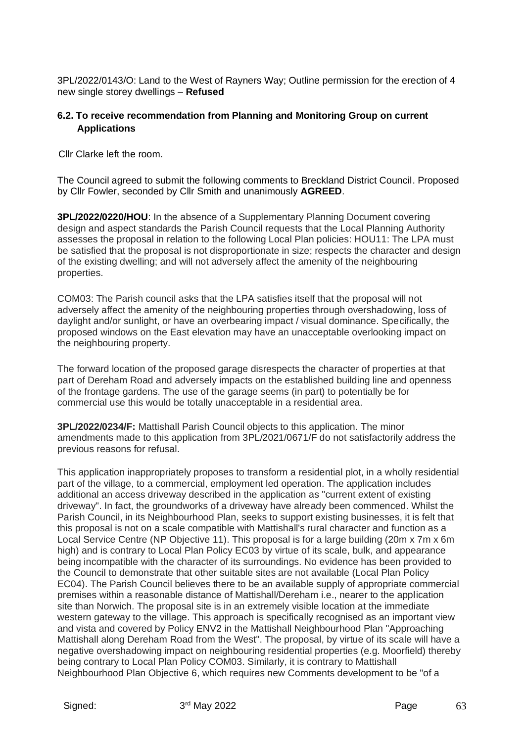3PL/2022/0143/O: Land to the West of Rayners Way; Outline permission for the erection of 4 new single storey dwellings – **Refused**

### **6.2. To receive recommendation from Planning and Monitoring Group on current Applications**

Cllr Clarke left the room.

The Council agreed to submit the following comments to Breckland District Council. Proposed by Cllr Fowler, seconded by Cllr Smith and unanimously **AGREED**.

**3PL/2022/0220/HOU**: In the absence of a Supplementary Planning Document covering design and aspect standards the Parish Council requests that the Local Planning Authority assesses the proposal in relation to the following Local Plan policies: HOU11: The LPA must be satisfied that the proposal is not disproportionate in size; respects the character and design of the existing dwelling; and will not adversely affect the amenity of the neighbouring properties.

COM03: The Parish council asks that the LPA satisfies itself that the proposal will not adversely affect the amenity of the neighbouring properties through overshadowing, loss of daylight and/or sunlight, or have an overbearing impact / visual dominance. Specifically, the proposed windows on the East elevation may have an unacceptable overlooking impact on the neighbouring property.

The forward location of the proposed garage disrespects the character of properties at that part of Dereham Road and adversely impacts on the established building line and openness of the frontage gardens. The use of the garage seems (in part) to potentially be for commercial use this would be totally unacceptable in a residential area.

**3PL/2022/0234/F:** Mattishall Parish Council objects to this application. The minor amendments made to this application from 3PL/2021/0671/F do not satisfactorily address the previous reasons for refusal.

This application inappropriately proposes to transform a residential plot, in a wholly residential part of the village, to a commercial, employment led operation. The application includes additional an access driveway described in the application as "current extent of existing driveway". In fact, the groundworks of a driveway have already been commenced. Whilst the Parish Council, in its Neighbourhood Plan, seeks to support existing businesses, it is felt that this proposal is not on a scale compatible with Mattishall's rural character and function as a Local Service Centre (NP Objective 11). This proposal is for a large building (20m x 7m x 6m high) and is contrary to Local Plan Policy EC03 by virtue of its scale, bulk, and appearance being incompatible with the character of its surroundings. No evidence has been provided to the Council to demonstrate that other suitable sites are not available (Local Plan Policy EC04). The Parish Council believes there to be an available supply of appropriate commercial premises within a reasonable distance of Mattishall/Dereham i.e., nearer to the application site than Norwich. The proposal site is in an extremely visible location at the immediate western gateway to the village. This approach is specifically recognised as an important view and vista and covered by Policy ENV2 in the Mattishall Neighbourhood Plan "Approaching Mattishall along Dereham Road from the West". The proposal, by virtue of its scale will have a negative overshadowing impact on neighbouring residential properties (e.g. Moorfield) thereby being contrary to Local Plan Policy COM03. Similarly, it is contrary to Mattishall Neighbourhood Plan Objective 6, which requires new Comments development to be "of a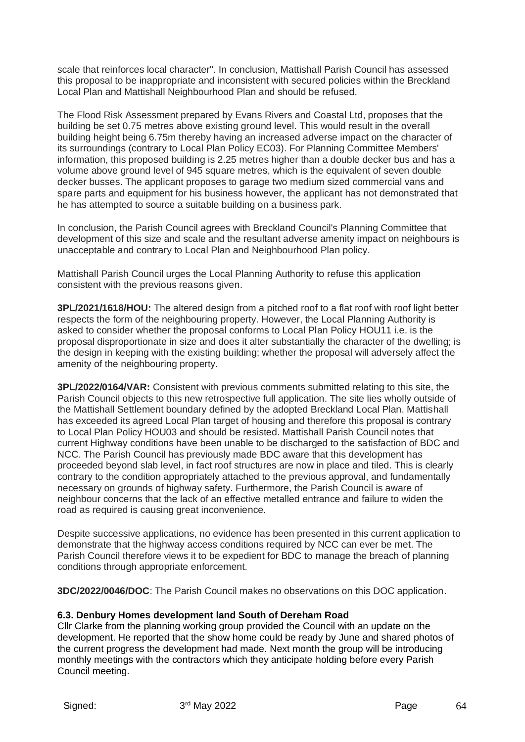scale that reinforces local character". In conclusion, Mattishall Parish Council has assessed this proposal to be inappropriate and inconsistent with secured policies within the Breckland Local Plan and Mattishall Neighbourhood Plan and should be refused.

The Flood Risk Assessment prepared by Evans Rivers and Coastal Ltd, proposes that the building be set 0.75 metres above existing ground level. This would result in the overall building height being 6.75m thereby having an increased adverse impact on the character of its surroundings (contrary to Local Plan Policy EC03). For Planning Committee Members' information, this proposed building is 2.25 metres higher than a double decker bus and has a volume above ground level of 945 square metres, which is the equivalent of seven double decker busses. The applicant proposes to garage two medium sized commercial vans and spare parts and equipment for his business however, the applicant has not demonstrated that he has attempted to source a suitable building on a business park.

In conclusion, the Parish Council agrees with Breckland Council's Planning Committee that development of this size and scale and the resultant adverse amenity impact on neighbours is unacceptable and contrary to Local Plan and Neighbourhood Plan policy.

Mattishall Parish Council urges the Local Planning Authority to refuse this application consistent with the previous reasons given.

**3PL/2021/1618/HOU:** The altered design from a pitched roof to a flat roof with roof light better respects the form of the neighbouring property. However, the Local Planning Authority is asked to consider whether the proposal conforms to Local Plan Policy HOU11 i.e. is the proposal disproportionate in size and does it alter substantially the character of the dwelling; is the design in keeping with the existing building; whether the proposal will adversely affect the amenity of the neighbouring property.

**3PL/2022/0164/VAR:** Consistent with previous comments submitted relating to this site, the Parish Council objects to this new retrospective full application. The site lies wholly outside of the Mattishall Settlement boundary defined by the adopted Breckland Local Plan. Mattishall has exceeded its agreed Local Plan target of housing and therefore this proposal is contrary to Local Plan Policy HOU03 and should be resisted. Mattishall Parish Council notes that current Highway conditions have been unable to be discharged to the satisfaction of BDC and NCC. The Parish Council has previously made BDC aware that this development has proceeded beyond slab level, in fact roof structures are now in place and tiled. This is clearly contrary to the condition appropriately attached to the previous approval, and fundamentally necessary on grounds of highway safety. Furthermore, the Parish Council is aware of neighbour concerns that the lack of an effective metalled entrance and failure to widen the road as required is causing great inconvenience.

Despite successive applications, no evidence has been presented in this current application to demonstrate that the highway access conditions required by NCC can ever be met. The Parish Council therefore views it to be expedient for BDC to manage the breach of planning conditions through appropriate enforcement.

**3DC/2022/0046/DOC**: The Parish Council makes no observations on this DOC application.

## **6.3. Denbury Homes development land South of Dereham Road**

Cllr Clarke from the planning working group provided the Council with an update on the development. He reported that the show home could be ready by June and shared photos of the current progress the development had made. Next month the group will be introducing monthly meetings with the contractors which they anticipate holding before every Parish Council meeting.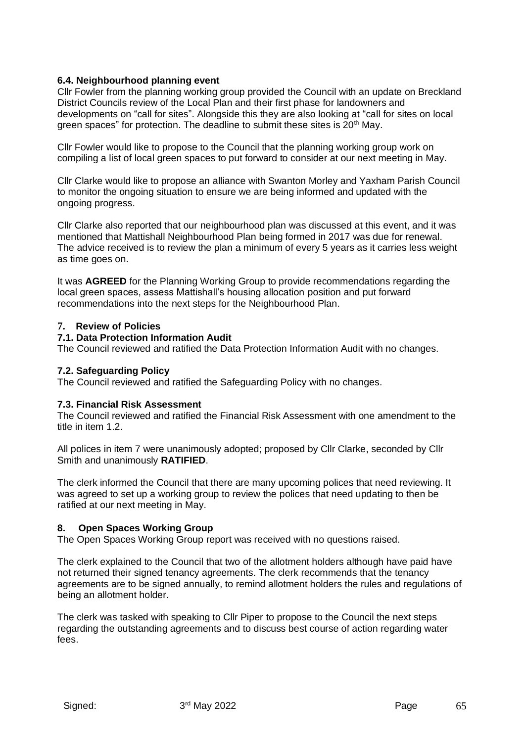### **6.4. Neighbourhood planning event**

Cllr Fowler from the planning working group provided the Council with an update on Breckland District Councils review of the Local Plan and their first phase for landowners and developments on "call for sites". Alongside this they are also looking at "call for sites on local green spaces" for protection. The deadline to submit these sites is  $20<sup>th</sup>$  May.

Cllr Fowler would like to propose to the Council that the planning working group work on compiling a list of local green spaces to put forward to consider at our next meeting in May.

Cllr Clarke would like to propose an alliance with Swanton Morley and Yaxham Parish Council to monitor the ongoing situation to ensure we are being informed and updated with the ongoing progress.

Cllr Clarke also reported that our neighbourhood plan was discussed at this event, and it was mentioned that Mattishall Neighbourhood Plan being formed in 2017 was due for renewal. The advice received is to review the plan a minimum of every 5 years as it carries less weight as time goes on.

It was **AGREED** for the Planning Working Group to provide recommendations regarding the local green spaces, assess Mattishall's housing allocation position and put forward recommendations into the next steps for the Neighbourhood Plan.

#### **7. Review of Policies**

#### **7.1. Data Protection Information Audit**

The Council reviewed and ratified the Data Protection Information Audit with no changes.

#### **7.2. Safeguarding Policy**

The Council reviewed and ratified the Safeguarding Policy with no changes.

#### **7.3. Financial Risk Assessment**

The Council reviewed and ratified the Financial Risk Assessment with one amendment to the title in item 1.2.

All polices in item 7 were unanimously adopted; proposed by Cllr Clarke, seconded by Cllr Smith and unanimously **RATIFIED**.

The clerk informed the Council that there are many upcoming polices that need reviewing. It was agreed to set up a working group to review the polices that need updating to then be ratified at our next meeting in May.

#### **8. Open Spaces Working Group**

The Open Spaces Working Group report was received with no questions raised.

The clerk explained to the Council that two of the allotment holders although have paid have not returned their signed tenancy agreements. The clerk recommends that the tenancy agreements are to be signed annually, to remind allotment holders the rules and regulations of being an allotment holder.

The clerk was tasked with speaking to Cllr Piper to propose to the Council the next steps regarding the outstanding agreements and to discuss best course of action regarding water fees.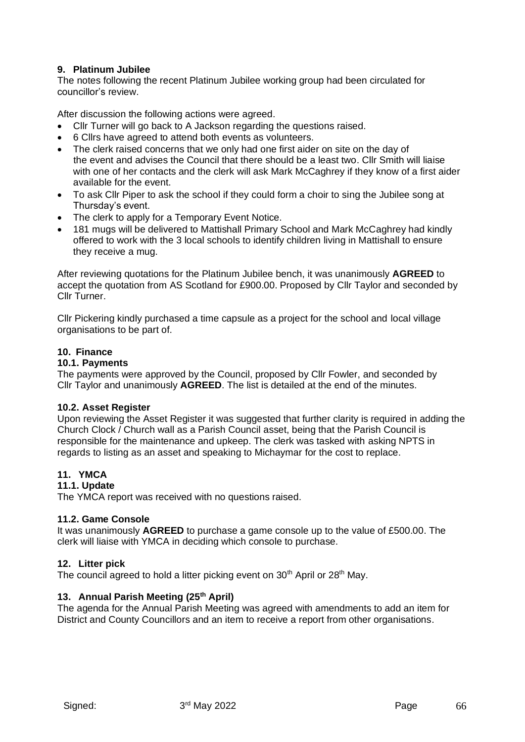#### **9. Platinum Jubilee**

The notes following the recent Platinum Jubilee working group had been circulated for councillor's review.

After discussion the following actions were agreed.

- Cllr Turner will go back to A Jackson regarding the questions raised.
- 6 Cllrs have agreed to attend both events as volunteers.
- The clerk raised concerns that we only had one first aider on site on the day of the event and advises the Council that there should be a least two. Cllr Smith will liaise with one of her contacts and the clerk will ask Mark McCaghrey if they know of a first aider available for the event.
- To ask Cllr Piper to ask the school if they could form a choir to sing the Jubilee song at Thursday's event.
- The clerk to apply for a Temporary Event Notice.
- 181 mugs will be delivered to Mattishall Primary School and Mark McCaghrey had kindly offered to work with the 3 local schools to identify children living in Mattishall to ensure they receive a mug.

After reviewing quotations for the Platinum Jubilee bench, it was unanimously **AGREED** to accept the quotation from AS Scotland for £900.00. Proposed by Cllr Taylor and seconded by Cllr Turner.

Cllr Pickering kindly purchased a time capsule as a project for the school and local village organisations to be part of.

## **10. Finance**

### **10.1. Payments**

The payments were approved by the Council, proposed by Cllr Fowler, and seconded by Cllr Taylor and unanimously **AGREED**. The list is detailed at the end of the minutes.

#### **10.2. Asset Register**

Upon reviewing the Asset Register it was suggested that further clarity is required in adding the Church Clock / Church wall as a Parish Council asset, being that the Parish Council is responsible for the maintenance and upkeep. The clerk was tasked with asking NPTS in regards to listing as an asset and speaking to Michaymar for the cost to replace.

## **11. YMCA**

#### **11.1. Update**

The YMCA report was received with no questions raised.

#### **11.2. Game Console**

It was unanimously **AGREED** to purchase a game console up to the value of £500.00. The clerk will liaise with YMCA in deciding which console to purchase.

#### **12. Litter pick**

The council agreed to hold a litter picking event on 30<sup>th</sup> April or 28<sup>th</sup> May.

#### **13. Annual Parish Meeting (25th April)**

The agenda for the Annual Parish Meeting was agreed with amendments to add an item for District and County Councillors and an item to receive a report from other organisations.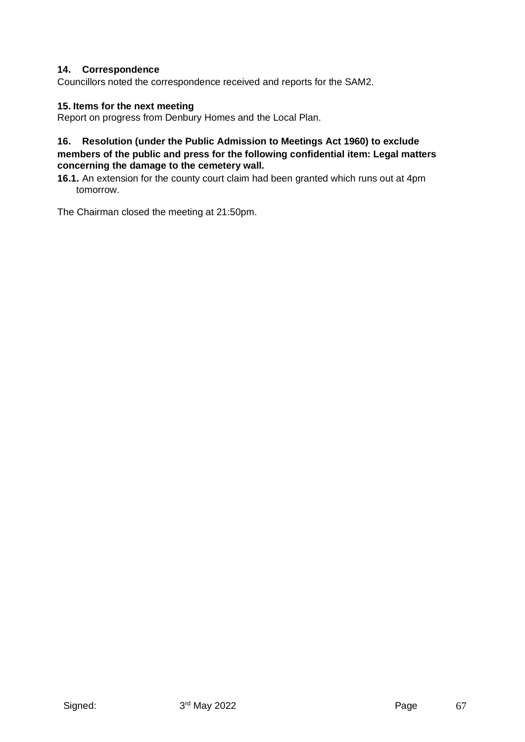### **14. Correspondence**

Councillors noted the correspondence received and reports for the SAM2.

#### **15. Items for the next meeting**

Report on progress from Denbury Homes and the Local Plan.

### **16. Resolution (under the Public Admission to Meetings Act 1960) to exclude members of the public and press for the following confidential item: Legal matters concerning the damage to the cemetery wall.**

**16.1.** An extension for the county court claim had been granted which runs out at 4pm tomorrow.

The Chairman closed the meeting at 21:50pm.